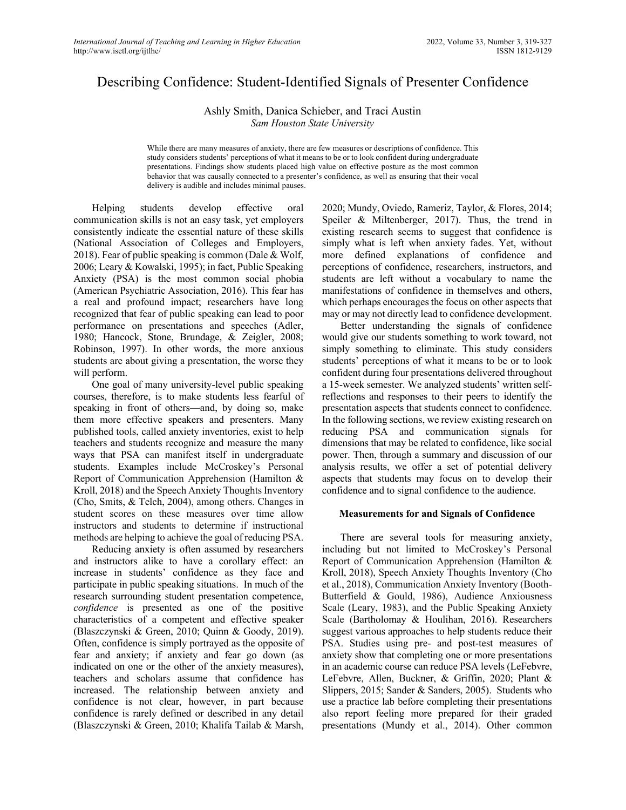# Describing Confidence: Student-Identified Signals of Presenter Confidence

Ashly Smith, Danica Schieber, and Traci Austin *Sam Houston State University*

While there are many measures of anxiety, there are few measures or descriptions of confidence. This study considers students' perceptions of what it means to be or to look confident during undergraduate presentations. Findings show students placed high value on effective posture as the most common behavior that was causally connected to a presenter's confidence, as well as ensuring that their vocal delivery is audible and includes minimal pauses.

Helping students develop effective oral communication skills is not an easy task, yet employers consistently indicate the essential nature of these skills (National Association of Colleges and Employers, 2018). Fear of public speaking is common (Dale & Wolf, 2006; Leary & Kowalski, 1995); in fact, Public Speaking Anxiety (PSA) is the most common social phobia (American Psychiatric Association, 2016). This fear has a real and profound impact; researchers have long recognized that fear of public speaking can lead to poor performance on presentations and speeches (Adler, 1980; Hancock, Stone, Brundage, & Zeigler, 2008; Robinson, 1997). In other words, the more anxious students are about giving a presentation, the worse they will perform.

One goal of many university-level public speaking courses, therefore, is to make students less fearful of speaking in front of others—and, by doing so, make them more effective speakers and presenters. Many published tools, called anxiety inventories, exist to help teachers and students recognize and measure the many ways that PSA can manifest itself in undergraduate students. Examples include McCroskey's Personal Report of Communication Apprehension (Hamilton & Kroll, 2018) and the Speech Anxiety Thoughts Inventory (Cho, Smits, & Telch, 2004), among others. Changes in student scores on these measures over time allow instructors and students to determine if instructional methods are helping to achieve the goal of reducing PSA.

Reducing anxiety is often assumed by researchers and instructors alike to have a corollary effect: an increase in students' confidence as they face and participate in public speaking situations. In much of the research surrounding student presentation competence, *confidence* is presented as one of the positive characteristics of a competent and effective speaker (Blaszczynski & Green, 2010; Quinn & Goody, 2019). Often, confidence is simply portrayed as the opposite of fear and anxiety; if anxiety and fear go down (as indicated on one or the other of the anxiety measures), teachers and scholars assume that confidence has increased. The relationship between anxiety and confidence is not clear, however, in part because confidence is rarely defined or described in any detail (Blaszczynski & Green, 2010; Khalifa Tailab & Marsh,

2020; Mundy, Oviedo, Rameriz, Taylor, & Flores, 2014; Speiler & Miltenberger, 2017). Thus, the trend in existing research seems to suggest that confidence is simply what is left when anxiety fades. Yet, without more defined explanations of confidence and perceptions of confidence, researchers, instructors, and students are left without a vocabulary to name the manifestations of confidence in themselves and others, which perhaps encourages the focus on other aspects that may or may not directly lead to confidence development.

Better understanding the signals of confidence would give our students something to work toward, not simply something to eliminate. This study considers students' perceptions of what it means to be or to look confident during four presentations delivered throughout a 15-week semester. We analyzed students' written selfreflections and responses to their peers to identify the presentation aspects that students connect to confidence. In the following sections, we review existing research on reducing PSA and communication signals for dimensions that may be related to confidence, like social power. Then, through a summary and discussion of our analysis results, we offer a set of potential delivery aspects that students may focus on to develop their confidence and to signal confidence to the audience.

### **Measurements for and Signals of Confidence**

There are several tools for measuring anxiety, including but not limited to McCroskey's Personal Report of Communication Apprehension (Hamilton & Kroll, 2018), Speech Anxiety Thoughts Inventory (Cho et al., 2018), Communication Anxiety Inventory (Booth-Butterfield & Gould, 1986), Audience Anxiousness Scale (Leary, 1983), and the Public Speaking Anxiety Scale (Bartholomay & Houlihan, 2016). Researchers suggest various approaches to help students reduce their PSA. Studies using pre- and post-test measures of anxiety show that completing one or more presentations in an academic course can reduce PSA levels (LeFebvre, LeFebvre, Allen, Buckner, & Griffin, 2020; Plant & Slippers, 2015; Sander & Sanders, 2005). Students who use a practice lab before completing their presentations also report feeling more prepared for their graded presentations (Mundy et al., 2014). Other common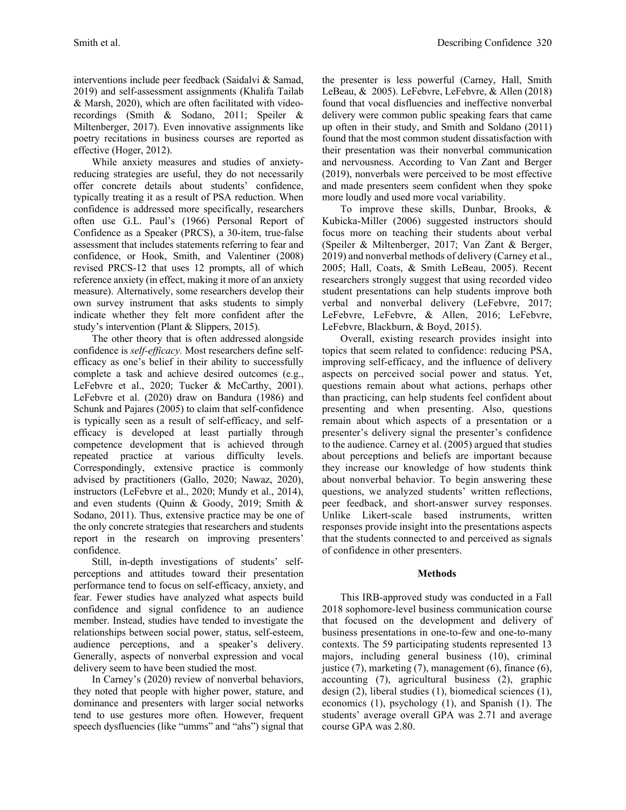interventions include peer feedback (Saidalvi & Samad, 2019) and self-assessment assignments (Khalifa Tailab & Marsh, 2020), which are often facilitated with videorecordings (Smith & Sodano, 2011; Speiler & Miltenberger, 2017). Even innovative assignments like poetry recitations in business courses are reported as effective (Hoger, 2012).

While anxiety measures and studies of anxietyreducing strategies are useful, they do not necessarily offer concrete details about students' confidence, typically treating it as a result of PSA reduction. When confidence is addressed more specifically, researchers often use G.L. Paul's (1966) Personal Report of Confidence as a Speaker (PRCS), a 30-item, true-false assessment that includes statements referring to fear and confidence, or Hook, Smith, and Valentiner (2008) revised PRCS-12 that uses 12 prompts, all of which reference anxiety (in effect, making it more of an anxiety measure). Alternatively, some researchers develop their own survey instrument that asks students to simply indicate whether they felt more confident after the study's intervention (Plant & Slippers, 2015).

The other theory that is often addressed alongside confidence is *self-efficacy.* Most researchers define selfefficacy as one's belief in their ability to successfully complete a task and achieve desired outcomes (e.g., LeFebvre et al., 2020; Tucker & McCarthy, 2001). LeFebvre et al. (2020) draw on Bandura (1986) and Schunk and Pajares (2005) to claim that self-confidence is typically seen as a result of self-efficacy, and selfefficacy is developed at least partially through competence development that is achieved through repeated practice at various difficulty levels. Correspondingly, extensive practice is commonly advised by practitioners (Gallo, 2020; Nawaz, 2020), instructors (LeFebvre et al., 2020; Mundy et al., 2014), and even students (Quinn & Goody, 2019; Smith & Sodano, 2011). Thus, extensive practice may be one of the only concrete strategies that researchers and students report in the research on improving presenters' confidence.

Still, in-depth investigations of students' selfperceptions and attitudes toward their presentation performance tend to focus on self-efficacy, anxiety, and fear. Fewer studies have analyzed what aspects build confidence and signal confidence to an audience member. Instead, studies have tended to investigate the relationships between social power, status, self-esteem, audience perceptions, and a speaker's delivery. Generally, aspects of nonverbal expression and vocal delivery seem to have been studied the most.

In Carney's (2020) review of nonverbal behaviors, they noted that people with higher power, stature, and dominance and presenters with larger social networks tend to use gestures more often. However, frequent speech dysfluencies (like "umms" and "ahs") signal that

the presenter is less powerful (Carney, Hall, Smith LeBeau, & 2005). LeFebvre, LeFebvre, & Allen (2018) found that vocal disfluencies and ineffective nonverbal delivery were common public speaking fears that came up often in their study, and Smith and Soldano (2011) found that the most common student dissatisfaction with their presentation was their nonverbal communication and nervousness. According to Van Zant and Berger (2019), nonverbals were perceived to be most effective and made presenters seem confident when they spoke more loudly and used more vocal variability.

To improve these skills, Dunbar, Brooks, & Kubicka-Miller (2006) suggested instructors should focus more on teaching their students about verbal (Speiler & Miltenberger, 2017; Van Zant & Berger, 2019) and nonverbal methods of delivery (Carney et al., 2005; Hall, Coats, & Smith LeBeau, 2005). Recent researchers strongly suggest that using recorded video student presentations can help students improve both verbal and nonverbal delivery (LeFebvre, 2017; LeFebvre, LeFebvre, & Allen, 2016; LeFebvre, LeFebvre, Blackburn, & Boyd, 2015).

Overall, existing research provides insight into topics that seem related to confidence: reducing PSA, improving self-efficacy, and the influence of delivery aspects on perceived social power and status. Yet, questions remain about what actions, perhaps other than practicing, can help students feel confident about presenting and when presenting. Also, questions remain about which aspects of a presentation or a presenter's delivery signal the presenter's confidence to the audience. Carney et al. (2005) argued that studies about perceptions and beliefs are important because they increase our knowledge of how students think about nonverbal behavior. To begin answering these questions, we analyzed students' written reflections, peer feedback, and short-answer survey responses. Unlike Likert-scale based instruments, written responses provide insight into the presentations aspects that the students connected to and perceived as signals of confidence in other presenters.

## **Methods**

This IRB-approved study was conducted in a Fall 2018 sophomore-level business communication course that focused on the development and delivery of business presentations in one-to-few and one-to-many contexts. The 59 participating students represented 13 majors, including general business (10), criminal justice (7), marketing (7), management (6), finance (6), accounting (7), agricultural business (2), graphic design (2), liberal studies (1), biomedical sciences (1), economics (1), psychology (1), and Spanish (1). The students' average overall GPA was 2.71 and average course GPA was 2.80.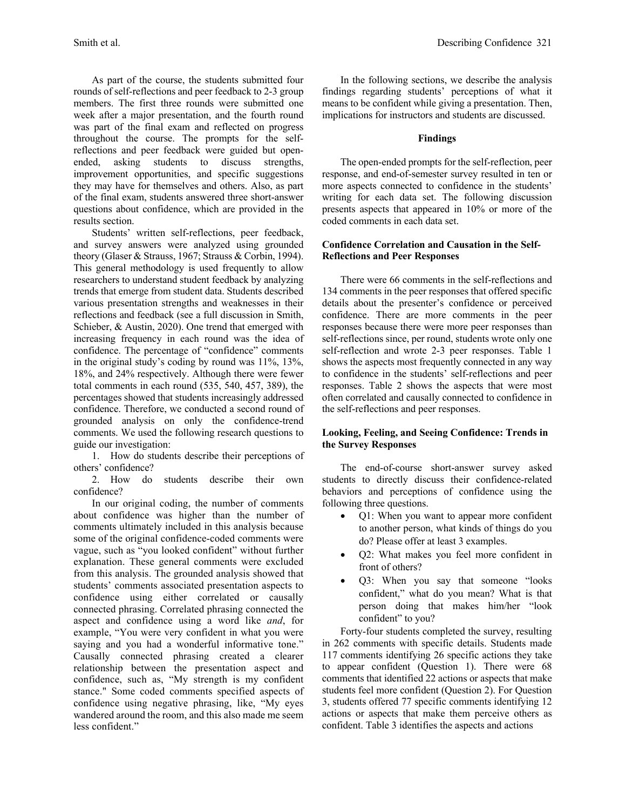As part of the course, the students submitted four rounds of self-reflections and peer feedback to 2-3 group members. The first three rounds were submitted one week after a major presentation, and the fourth round was part of the final exam and reflected on progress throughout the course. The prompts for the selfreflections and peer feedback were guided but openended, asking students to discuss strengths, improvement opportunities, and specific suggestions they may have for themselves and others. Also, as part of the final exam, students answered three short-answer questions about confidence, which are provided in the results section.

Students' written self-reflections, peer feedback, and survey answers were analyzed using grounded theory (Glaser & Strauss, 1967; Strauss & Corbin, 1994). This general methodology is used frequently to allow researchers to understand student feedback by analyzing trends that emerge from student data. Students described various presentation strengths and weaknesses in their reflections and feedback (see a full discussion in Smith, Schieber, & Austin, 2020). One trend that emerged with increasing frequency in each round was the idea of confidence. The percentage of "confidence" comments in the original study's coding by round was 11%, 13%, 18%, and 24% respectively. Although there were fewer total comments in each round (535, 540, 457, 389), the percentages showed that students increasingly addressed confidence. Therefore, we conducted a second round of grounded analysis on only the confidence-trend comments. We used the following research questions to guide our investigation:

1. How do students describe their perceptions of others' confidence?

2. How do students describe their own confidence?

In our original coding, the number of comments about confidence was higher than the number of comments ultimately included in this analysis because some of the original confidence-coded comments were vague, such as "you looked confident" without further explanation. These general comments were excluded from this analysis. The grounded analysis showed that students' comments associated presentation aspects to confidence using either correlated or causally connected phrasing. Correlated phrasing connected the aspect and confidence using a word like *and*, for example, "You were very confident in what you were saying and you had a wonderful informative tone." Causally connected phrasing created a clearer relationship between the presentation aspect and confidence, such as, "My strength is my confident stance." Some coded comments specified aspects of confidence using negative phrasing, like, "My eyes wandered around the room, and this also made me seem less confident."

In the following sections, we describe the analysis findings regarding students' perceptions of what it means to be confident while giving a presentation. Then, implications for instructors and students are discussed.

## **Findings**

The open-ended prompts for the self-reflection, peer response, and end-of-semester survey resulted in ten or more aspects connected to confidence in the students' writing for each data set. The following discussion presents aspects that appeared in 10% or more of the coded comments in each data set.

## **Confidence Correlation and Causation in the Self-Reflections and Peer Responses**

There were 66 comments in the self-reflections and 134 comments in the peer responses that offered specific details about the presenter's confidence or perceived confidence. There are more comments in the peer responses because there were more peer responses than self-reflections since, per round, students wrote only one self-reflection and wrote 2-3 peer responses. Table 1 shows the aspects most frequently connected in any way to confidence in the students' self-reflections and peer responses. Table 2 shows the aspects that were most often correlated and causally connected to confidence in the self-reflections and peer responses.

## **Looking, Feeling, and Seeing Confidence: Trends in the Survey Responses**

The end-of-course short-answer survey asked students to directly discuss their confidence-related behaviors and perceptions of confidence using the following three questions.

- Q1: When you want to appear more confident to another person, what kinds of things do you do? Please offer at least 3 examples.
- Q2: What makes you feel more confident in front of others?
- Q3: When you say that someone "looks confident," what do you mean? What is that person doing that makes him/her "look confident" to you?

Forty-four students completed the survey, resulting in 262 comments with specific details. Students made 117 comments identifying 26 specific actions they take to appear confident (Question 1). There were 68 comments that identified 22 actions or aspects that make students feel more confident (Question 2). For Question 3, students offered 77 specific comments identifying 12 actions or aspects that make them perceive others as confident. Table 3 identifies the aspects and actions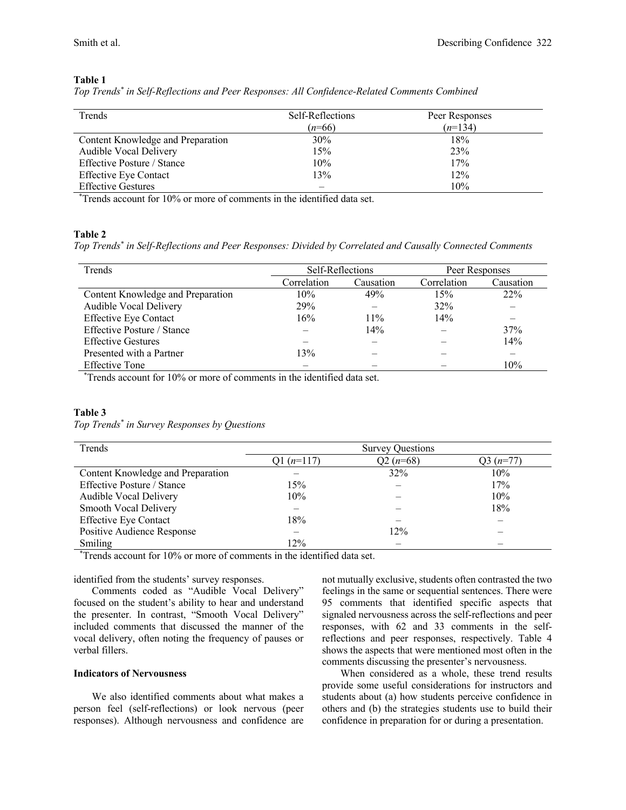### **Table 1**

|  | Top Trends* in Self-Reflections and Peer Responses: All Confidence-Related Comments Combined |  |  |  |
|--|----------------------------------------------------------------------------------------------|--|--|--|
|  |                                                                                              |  |  |  |

| Trends                            | Self-Reflections | Peer Responses |
|-----------------------------------|------------------|----------------|
|                                   | $(n=66)$         | $(n=134)$      |
| Content Knowledge and Preparation | 30%              | 18%            |
| Audible Vocal Delivery            | 15%              | 23%            |
| Effective Posture / Stance        | 10%              | 17%            |
| <b>Effective Eye Contact</b>      | 13%              | 12%            |
| <b>Effective Gestures</b>         |                  | 10%            |

\* Trends account for 10% or more of comments in the identified data set.

### **Table 2**

*Top Trends\* in Self-Reflections and Peer Responses: Divided by Correlated and Causally Connected Comments*

| Trends                            |             | Self-Reflections |             | Peer Responses |  |
|-----------------------------------|-------------|------------------|-------------|----------------|--|
|                                   | Correlation | Causation        | Correlation | Causation      |  |
| Content Knowledge and Preparation | 10%         | 49%              | 15%         | 22%            |  |
| Audible Vocal Delivery            | 29%         | –                | 32%         |                |  |
| <b>Effective Eye Contact</b>      | 16%         | $11\%$           | 14%         |                |  |
| <b>Effective Posture / Stance</b> |             | 14%              |             | 37%            |  |
| <b>Effective Gestures</b>         |             |                  |             | 14%            |  |
| Presented with a Partner          | 13%         |                  |             |                |  |
| <b>Effective Tone</b>             |             |                  |             | 10%            |  |

\* Trends account for 10% or more of comments in the identified data set.

### **Table 3**

*Top Trends\* in Survey Responses by Questions*

| Trends                            | <b>Survey Questions</b> |            |           |  |
|-----------------------------------|-------------------------|------------|-----------|--|
|                                   | Q1 $(n=117)$            | $Q2(n=68)$ | 33 (n=77) |  |
| Content Knowledge and Preparation |                         | 32%        | 10%       |  |
| Effective Posture / Stance        | 15%                     |            | 17%       |  |
| Audible Vocal Delivery            | 10%                     |            | 10%       |  |
| Smooth Vocal Delivery             |                         |            | 18%       |  |
| <b>Effective Eye Contact</b>      | 18%                     |            |           |  |
| Positive Audience Response        |                         | 12%        |           |  |
| Smiling                           | 12%                     |            |           |  |

\* Trends account for 10% or more of comments in the identified data set.

## identified from the students' survey responses.

Comments coded as "Audible Vocal Delivery" focused on the student's ability to hear and understand the presenter. In contrast, "Smooth Vocal Delivery" included comments that discussed the manner of the vocal delivery, often noting the frequency of pauses or verbal fillers.

#### **Indicators of Nervousness**

We also identified comments about what makes a person feel (self-reflections) or look nervous (peer responses). Although nervousness and confidence are not mutually exclusive, students often contrasted the two feelings in the same or sequential sentences. There were 95 comments that identified specific aspects that signaled nervousness across the self-reflections and peer responses, with 62 and 33 comments in the selfreflections and peer responses, respectively. Table 4 shows the aspects that were mentioned most often in the comments discussing the presenter's nervousness.

When considered as a whole, these trend results provide some useful considerations for instructors and students about (a) how students perceive confidence in others and (b) the strategies students use to build their confidence in preparation for or during a presentation.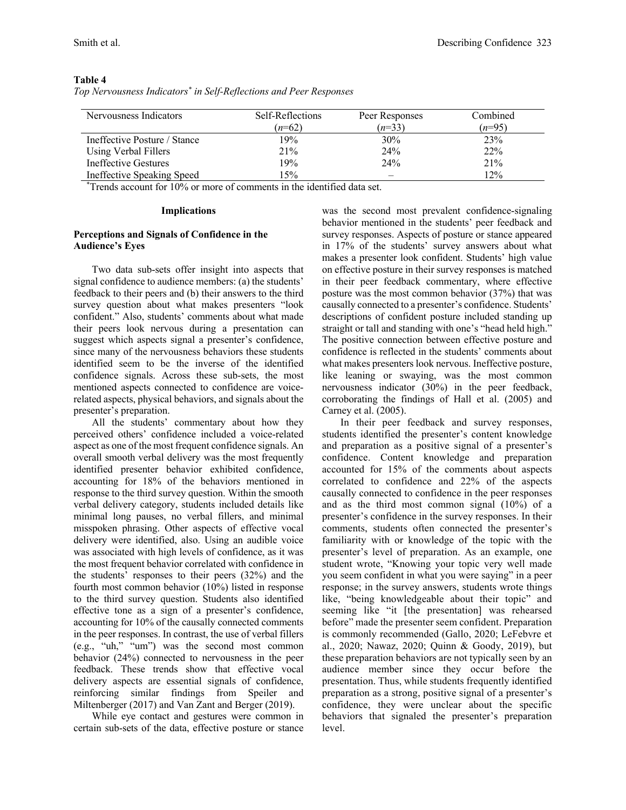| Nervousness Indicators       | Self-Reflections | Peer Responses | Combined |
|------------------------------|------------------|----------------|----------|
|                              | $(n=62)$         | $(n=33)$       | $(n=95)$ |
| Ineffective Posture / Stance | 19%              | 30%            | 23%      |
| Using Verbal Fillers         | 21%              | 24%            | 22%      |
| <b>Ineffective Gestures</b>  | 19%              | 24%            | 21%      |
| Ineffective Speaking Speed   | 15%              |                | 12%      |

**Table 4**

|  | Top Nervousness Indicators <sup>*</sup> in Self-Reflections and Peer Responses |  |
|--|--------------------------------------------------------------------------------|--|
|  |                                                                                |  |

\* Trends account for 10% or more of comments in the identified data set.

#### **Implications**

### **Perceptions and Signals of Confidence in the Audience's Eyes**

Two data sub-sets offer insight into aspects that signal confidence to audience members: (a) the students' feedback to their peers and (b) their answers to the third survey question about what makes presenters "look confident." Also, students' comments about what made their peers look nervous during a presentation can suggest which aspects signal a presenter's confidence, since many of the nervousness behaviors these students identified seem to be the inverse of the identified confidence signals. Across these sub-sets, the most mentioned aspects connected to confidence are voicerelated aspects, physical behaviors, and signals about the presenter's preparation.

All the students' commentary about how they perceived others' confidence included a voice-related aspect as one of the most frequent confidence signals. An overall smooth verbal delivery was the most frequently identified presenter behavior exhibited confidence, accounting for 18% of the behaviors mentioned in response to the third survey question. Within the smooth verbal delivery category, students included details like minimal long pauses, no verbal fillers, and minimal misspoken phrasing. Other aspects of effective vocal delivery were identified, also. Using an audible voice was associated with high levels of confidence, as it was the most frequent behavior correlated with confidence in the students' responses to their peers (32%) and the fourth most common behavior (10%) listed in response to the third survey question. Students also identified effective tone as a sign of a presenter's confidence, accounting for 10% of the causally connected comments in the peer responses. In contrast, the use of verbal fillers (e.g., "uh," "um") was the second most common behavior (24%) connected to nervousness in the peer feedback. These trends show that effective vocal delivery aspects are essential signals of confidence, reinforcing similar findings from Speiler and Miltenberger (2017) and Van Zant and Berger (2019).

While eye contact and gestures were common in certain sub-sets of the data, effective posture or stance

was the second most prevalent confidence-signaling behavior mentioned in the students' peer feedback and survey responses. Aspects of posture or stance appeared in 17% of the students' survey answers about what makes a presenter look confident. Students' high value on effective posture in their survey responses is matched in their peer feedback commentary, where effective posture was the most common behavior (37%) that was causally connected to a presenter's confidence. Students' descriptions of confident posture included standing up straight or tall and standing with one's "head held high." The positive connection between effective posture and confidence is reflected in the students' comments about what makes presenters look nervous. Ineffective posture, like leaning or swaying, was the most common nervousness indicator (30%) in the peer feedback, corroborating the findings of Hall et al. (2005) and Carney et al. (2005).

In their peer feedback and survey responses, students identified the presenter's content knowledge and preparation as a positive signal of a presenter's confidence. Content knowledge and preparation accounted for 15% of the comments about aspects correlated to confidence and 22% of the aspects causally connected to confidence in the peer responses and as the third most common signal (10%) of a presenter's confidence in the survey responses. In their comments, students often connected the presenter's familiarity with or knowledge of the topic with the presenter's level of preparation. As an example, one student wrote, "Knowing your topic very well made you seem confident in what you were saying" in a peer response; in the survey answers, students wrote things like, "being knowledgeable about their topic" and seeming like "it [the presentation] was rehearsed before" made the presenter seem confident. Preparation is commonly recommended (Gallo, 2020; LeFebvre et al., 2020; Nawaz, 2020; Quinn & Goody, 2019), but these preparation behaviors are not typically seen by an audience member since they occur before the presentation. Thus, while students frequently identified preparation as a strong, positive signal of a presenter's confidence, they were unclear about the specific behaviors that signaled the presenter's preparation level.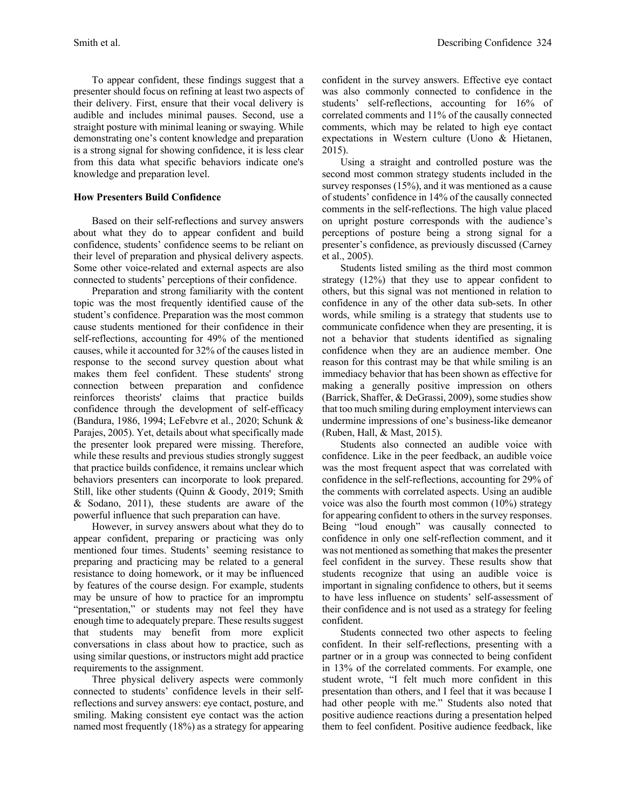To appear confident, these findings suggest that a presenter should focus on refining at least two aspects of their delivery. First, ensure that their vocal delivery is audible and includes minimal pauses. Second, use a straight posture with minimal leaning or swaying. While demonstrating one's content knowledge and preparation is a strong signal for showing confidence, it is less clear from this data what specific behaviors indicate one's knowledge and preparation level.

## **How Presenters Build Confidence**

Based on their self-reflections and survey answers about what they do to appear confident and build confidence, students' confidence seems to be reliant on their level of preparation and physical delivery aspects. Some other voice-related and external aspects are also connected to students' perceptions of their confidence.

Preparation and strong familiarity with the content topic was the most frequently identified cause of the student's confidence. Preparation was the most common cause students mentioned for their confidence in their self-reflections, accounting for 49% of the mentioned causes, while it accounted for 32% of the causes listed in response to the second survey question about what makes them feel confident. These students' strong connection between preparation and confidence reinforces theorists' claims that practice builds confidence through the development of self-efficacy (Bandura, 1986, 1994; LeFebvre et al., 2020; Schunk & Parajes, 2005). Yet, details about what specifically made the presenter look prepared were missing. Therefore, while these results and previous studies strongly suggest that practice builds confidence, it remains unclear which behaviors presenters can incorporate to look prepared. Still, like other students (Quinn & Goody, 2019; Smith & Sodano, 2011), these students are aware of the powerful influence that such preparation can have.

However, in survey answers about what they do to appear confident, preparing or practicing was only mentioned four times. Students' seeming resistance to preparing and practicing may be related to a general resistance to doing homework, or it may be influenced by features of the course design. For example, students may be unsure of how to practice for an impromptu "presentation," or students may not feel they have enough time to adequately prepare. These results suggest that students may benefit from more explicit conversations in class about how to practice, such as using similar questions, or instructors might add practice requirements to the assignment.

Three physical delivery aspects were commonly connected to students' confidence levels in their selfreflections and survey answers: eye contact, posture, and smiling. Making consistent eye contact was the action named most frequently (18%) as a strategy for appearing confident in the survey answers. Effective eye contact was also commonly connected to confidence in the students' self-reflections, accounting for 16% of correlated comments and 11% of the causally connected comments, which may be related to high eye contact expectations in Western culture (Uono & Hietanen, 2015).

Using a straight and controlled posture was the second most common strategy students included in the survey responses (15%), and it was mentioned as a cause of students' confidence in 14% of the causally connected comments in the self-reflections. The high value placed on upright posture corresponds with the audience's perceptions of posture being a strong signal for a presenter's confidence, as previously discussed (Carney et al., 2005).

Students listed smiling as the third most common strategy (12%) that they use to appear confident to others, but this signal was not mentioned in relation to confidence in any of the other data sub-sets. In other words, while smiling is a strategy that students use to communicate confidence when they are presenting, it is not a behavior that students identified as signaling confidence when they are an audience member. One reason for this contrast may be that while smiling is an immediacy behavior that has been shown as effective for making a generally positive impression on others (Barrick, Shaffer, & DeGrassi, 2009), some studies show that too much smiling during employment interviews can undermine impressions of one's business-like demeanor (Ruben, Hall, & Mast, 2015).

Students also connected an audible voice with confidence. Like in the peer feedback, an audible voice was the most frequent aspect that was correlated with confidence in the self-reflections, accounting for 29% of the comments with correlated aspects. Using an audible voice was also the fourth most common (10%) strategy for appearing confident to others in the survey responses. Being "loud enough" was causally connected to confidence in only one self-reflection comment, and it was not mentioned as something that makes the presenter feel confident in the survey. These results show that students recognize that using an audible voice is important in signaling confidence to others, but it seems to have less influence on students' self-assessment of their confidence and is not used as a strategy for feeling confident.

Students connected two other aspects to feeling confident. In their self-reflections, presenting with a partner or in a group was connected to being confident in 13% of the correlated comments. For example, one student wrote, "I felt much more confident in this presentation than others, and I feel that it was because I had other people with me." Students also noted that positive audience reactions during a presentation helped them to feel confident. Positive audience feedback, like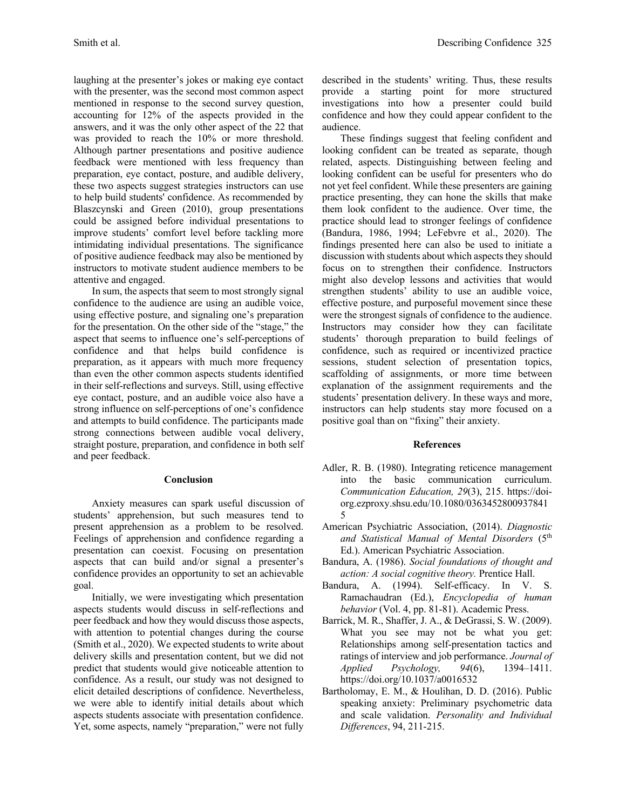laughing at the presenter's jokes or making eye contact with the presenter, was the second most common aspect mentioned in response to the second survey question, accounting for 12% of the aspects provided in the answers, and it was the only other aspect of the 22 that was provided to reach the 10% or more threshold. Although partner presentations and positive audience feedback were mentioned with less frequency than preparation, eye contact, posture, and audible delivery, these two aspects suggest strategies instructors can use to help build students' confidence. As recommended by Blaszcynski and Green (2010), group presentations could be assigned before individual presentations to improve students' comfort level before tackling more intimidating individual presentations. The significance of positive audience feedback may also be mentioned by instructors to motivate student audience members to be attentive and engaged.

In sum, the aspects that seem to most strongly signal confidence to the audience are using an audible voice, using effective posture, and signaling one's preparation for the presentation. On the other side of the "stage," the aspect that seems to influence one's self-perceptions of confidence and that helps build confidence is preparation, as it appears with much more frequency than even the other common aspects students identified in their self-reflections and surveys. Still, using effective eye contact, posture, and an audible voice also have a strong influence on self-perceptions of one's confidence and attempts to build confidence. The participants made strong connections between audible vocal delivery, straight posture, preparation, and confidence in both self and peer feedback.

### **Conclusion**

Anxiety measures can spark useful discussion of students' apprehension, but such measures tend to present apprehension as a problem to be resolved. Feelings of apprehension and confidence regarding a presentation can coexist. Focusing on presentation aspects that can build and/or signal a presenter's confidence provides an opportunity to set an achievable goal.

Initially, we were investigating which presentation aspects students would discuss in self-reflections and peer feedback and how they would discuss those aspects, with attention to potential changes during the course (Smith et al., 2020). We expected students to write about delivery skills and presentation content, but we did not predict that students would give noticeable attention to confidence. As a result, our study was not designed to elicit detailed descriptions of confidence. Nevertheless, we were able to identify initial details about which aspects students associate with presentation confidence. Yet, some aspects, namely "preparation," were not fully described in the students' writing. Thus, these results provide a starting point for more structured investigations into how a presenter could build confidence and how they could appear confident to the audience.

These findings suggest that feeling confident and looking confident can be treated as separate, though related, aspects. Distinguishing between feeling and looking confident can be useful for presenters who do not yet feel confident. While these presenters are gaining practice presenting, they can hone the skills that make them look confident to the audience. Over time, the practice should lead to stronger feelings of confidence (Bandura, 1986, 1994; LeFebvre et al., 2020). The findings presented here can also be used to initiate a discussion with students about which aspects they should focus on to strengthen their confidence. Instructors might also develop lessons and activities that would strengthen students' ability to use an audible voice, effective posture, and purposeful movement since these were the strongest signals of confidence to the audience. Instructors may consider how they can facilitate students' thorough preparation to build feelings of confidence, such as required or incentivized practice sessions, student selection of presentation topics, scaffolding of assignments, or more time between explanation of the assignment requirements and the students' presentation delivery. In these ways and more, instructors can help students stay more focused on a positive goal than on "fixing" their anxiety.

### **References**

- Adler, R. B. (1980). Integrating reticence management into the basic communication curriculum. *Communication Education, 29*(3), 215. https://doiorg.ezproxy.shsu.edu/10.1080/0363452800937841 5
- American Psychiatric Association, (2014). *Diagnostic and Statistical Manual of Mental Disorders* (5th Ed.). American Psychiatric Association.
- Bandura, A. (1986). *Social foundations of thought and action: A social cognitive theory.* Prentice Hall.
- Bandura, A. (1994). Self-efficacy. In V. S. Ramachaudran (Ed.), *Encyclopedia of human behavior* (Vol. 4, pp. 81-81). Academic Press.
- Barrick, M. R., Shaffer, J. A., & DeGrassi, S. W. (2009). What you see may not be what you get: Relationships among self-presentation tactics and ratings of interview and job performance. *Journal of Applied Psychology, 94*(6), 1394–1411. https://doi.org/10.1037/a0016532
- Bartholomay, E. M., & Houlihan, D. D. (2016). Public speaking anxiety: Preliminary psychometric data and scale validation. *Personality and Individual Differences*, 94, 211-215.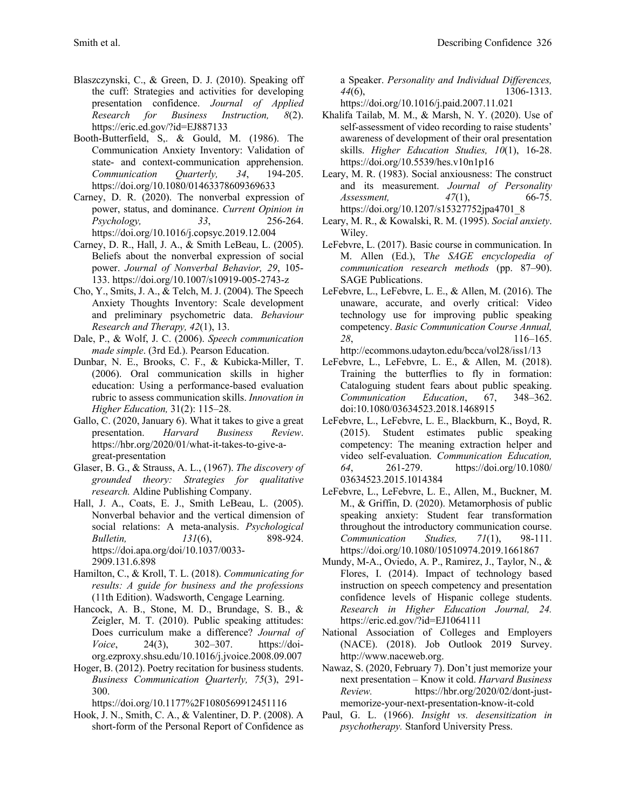- Blaszczynski, C., & Green, D. J. (2010). Speaking off the cuff: Strategies and activities for developing presentation confidence. *Journal of Applied Research for Business Instruction, 8*(2). https://eric.ed.gov/?id=EJ887133
- Booth-Butterfield, S,. & Gould, M. (1986). The Communication Anxiety Inventory: Validation of state- and context-communication apprehension. *Communication Quarterly, 34*, 194-205. https://doi.org/10.1080/01463378609369633
- Carney, D. R. (2020). The nonverbal expression of power, status, and dominance. *Current Opinion in Psychology, 33*, 256-264. https://doi.org/10.1016/j.copsyc.2019.12.004
- Carney, D. R., Hall, J. A., & Smith LeBeau, L. (2005). Beliefs about the nonverbal expression of social power. *Journal of Nonverbal Behavior, 29*, 105- 133. https://doi.org/10.1007/s10919-005-2743-z
- Cho, Y., Smits, J. A., & Telch, M. J. (2004). The Speech Anxiety Thoughts Inventory: Scale development and preliminary psychometric data. *Behaviour Research and Therapy, 42*(1), 13.
- Dale, P., & Wolf, J. C. (2006). *Speech communication made simple*. (3rd Ed.). Pearson Education.
- Dunbar, N. E., Brooks, C. F., & Kubicka-Miller, T. (2006). Oral communication skills in higher education: Using a performance-based evaluation rubric to assess communication skills. *Innovation in Higher Education,* 31(2): 115–28.
- Gallo, C. (2020, January 6). What it takes to give a great presentation. *Harvard Business Review*. https://hbr.org/2020/01/what-it-takes-to-give-agreat-presentation
- Glaser, B. G., & Strauss, A. L., (1967). *The discovery of grounded theory: Strategies for qualitative research.* Aldine Publishing Company.
- Hall, J. A., Coats, E. J., Smith LeBeau, L. (2005). Nonverbal behavior and the vertical dimension of social relations: A meta-analysis. *Psychological Bulletin, 131*(6), 898-924. https://doi.apa.org/doi/10.1037/0033- 2909.131.6.898
- Hamilton, C., & Kroll, T. L. (2018). *Communicating for results: A guide for business and the professions*  (11th Edition). Wadsworth, Cengage Learning.
- Hancock, A. B., Stone, M. D., Brundage, S. B., & Zeigler, M. T. (2010). Public speaking attitudes: Does curriculum make a difference? *Journal of Voice*, 24(3), 302–307. https://doiorg.ezproxy.shsu.edu/10.1016/j.jvoice.2008.09.007
- Hoger, B. (2012). Poetry recitation for business students. *Business Communication Quarterly, 75*(3), 291- 300.

https://doi.org/10.1177%2F1080569912451116

Hook, J. N., Smith, C. A., & Valentiner, D. P. (2008). A short-form of the Personal Report of Confidence as a Speaker. *Personality and Individual Differences, 44*(6), 1306-1313. https://doi.org/10.1016/j.paid.2007.11.021

- Khalifa Tailab, M. M., & Marsh, N. Y. (2020). Use of self-assessment of video recording to raise students' awareness of development of their oral presentation skills. *Higher Education Studies, 10*(1), 16-28. https://doi.org/10.5539/hes.v10n1p16
- Leary, M. R. (1983). Social anxiousness: The construct and its measurement. *Journal of Personality Assessment, 47*(1), 66-75. https://doi.org/10.1207/s15327752jpa4701\_8
- Leary, M. R., & Kowalski, R. M. (1995). *Social anxiety*. Wiley.
- LeFebvre, L. (2017). Basic course in communication. In M. Allen (Ed.), T*he SAGE encyclopedia of communication research methods* (pp. 87–90). SAGE Publications.
- LeFebvre, L., LeFebvre, L. E., & Allen, M. (2016). The unaware, accurate, and overly critical: Video technology use for improving public speaking competency. *Basic Communication Course Annual, 28*, 116–165. http://ecommons.udayton.edu/bcca/vol28/iss1/13
- LeFebvre, L., LeFebvre, L. E., & Allen, M. (2018). Training the butterflies to fly in formation: Cataloguing student fears about public speaking. *Communication Education*, 67, 348–362. doi:10.1080/03634523.2018.1468915
- LeFebvre, L., LeFebvre, L. E., Blackburn, K., Boyd, R. (2015). Student estimates public speaking competency: The meaning extraction helper and video self-evaluation. *Communication Education, 64*, 261-279. https://doi.org/10.1080/ 03634523.2015.1014384
- LeFebvre, L., LeFebvre, L. E., Allen, M., Buckner, M. M., & Griffin, D. (2020). Metamorphosis of public speaking anxiety: Student fear transformation throughout the introductory communication course. *Communication Studies, 71*(1), 98-111. https://doi.org/10.1080/10510974.2019.1661867
- Mundy, M-A., Oviedo, A. P., Ramirez, J., Taylor, N., & Flores, I. (2014). Impact of technology based instruction on speech competency and presentation confidence levels of Hispanic college students. *Research in Higher Education Journal, 24.* https://eric.ed.gov/?id=EJ1064111
- National Association of Colleges and Employers (NACE). (2018). Job Outlook 2019 Survey. http://www.naceweb.org.
- Nawaz, S. (2020, February 7). Don't just memorize your next presentation – Know it cold. *Harvard Business Review.* https://hbr.org/2020/02/dont-justmemorize-your-next-presentation-know-it-cold
- Paul, G. L. (1966). *Insight vs. desensitization in psychotherapy.* Stanford University Press.